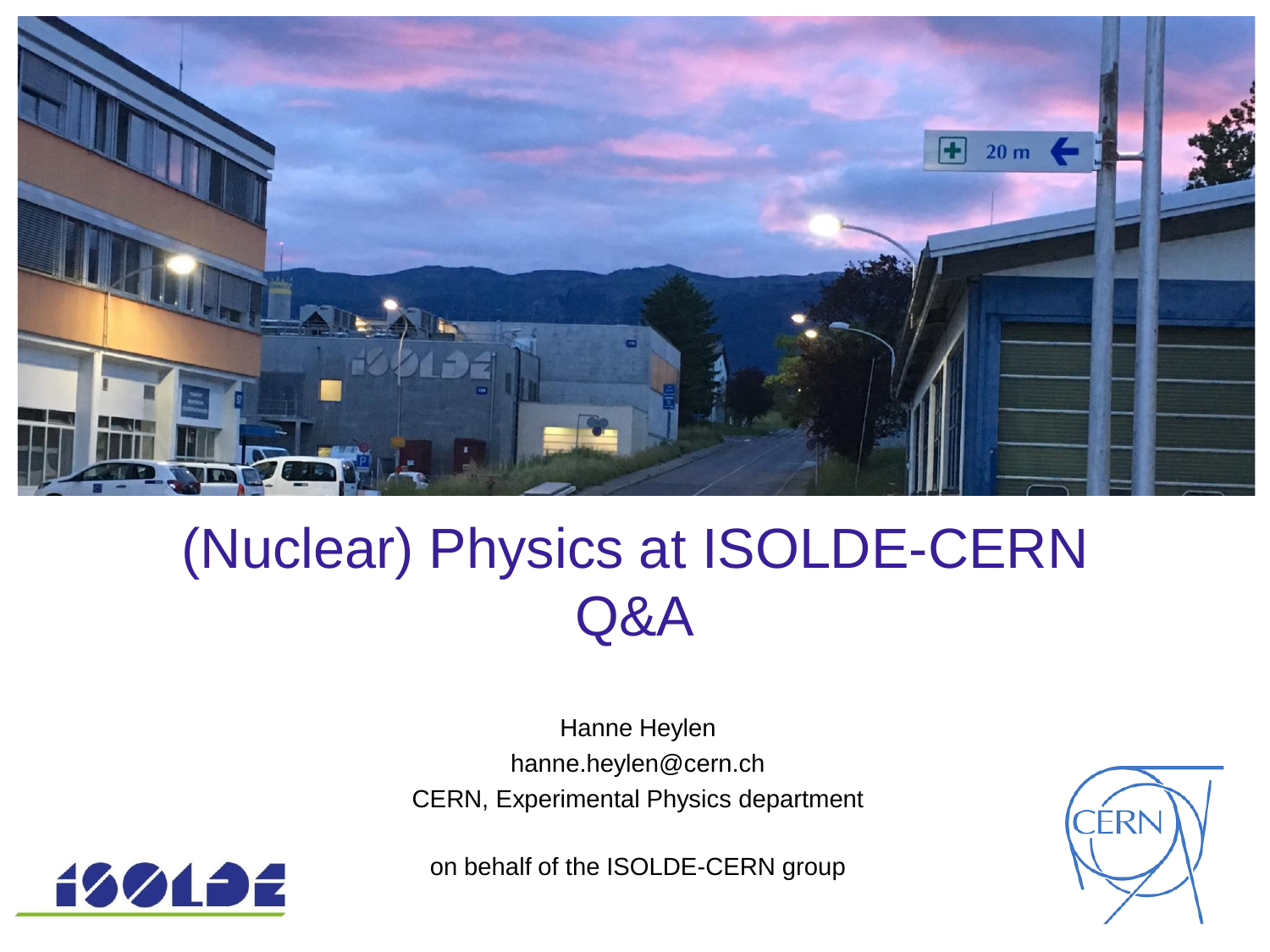

# (Nuclear) Physics at ISOLDE-CERN Q&A

Hanne Heylen hanne.heylen@cern.ch CERN, Experimental Physics department



on behalf of the ISOLDE-CERN group

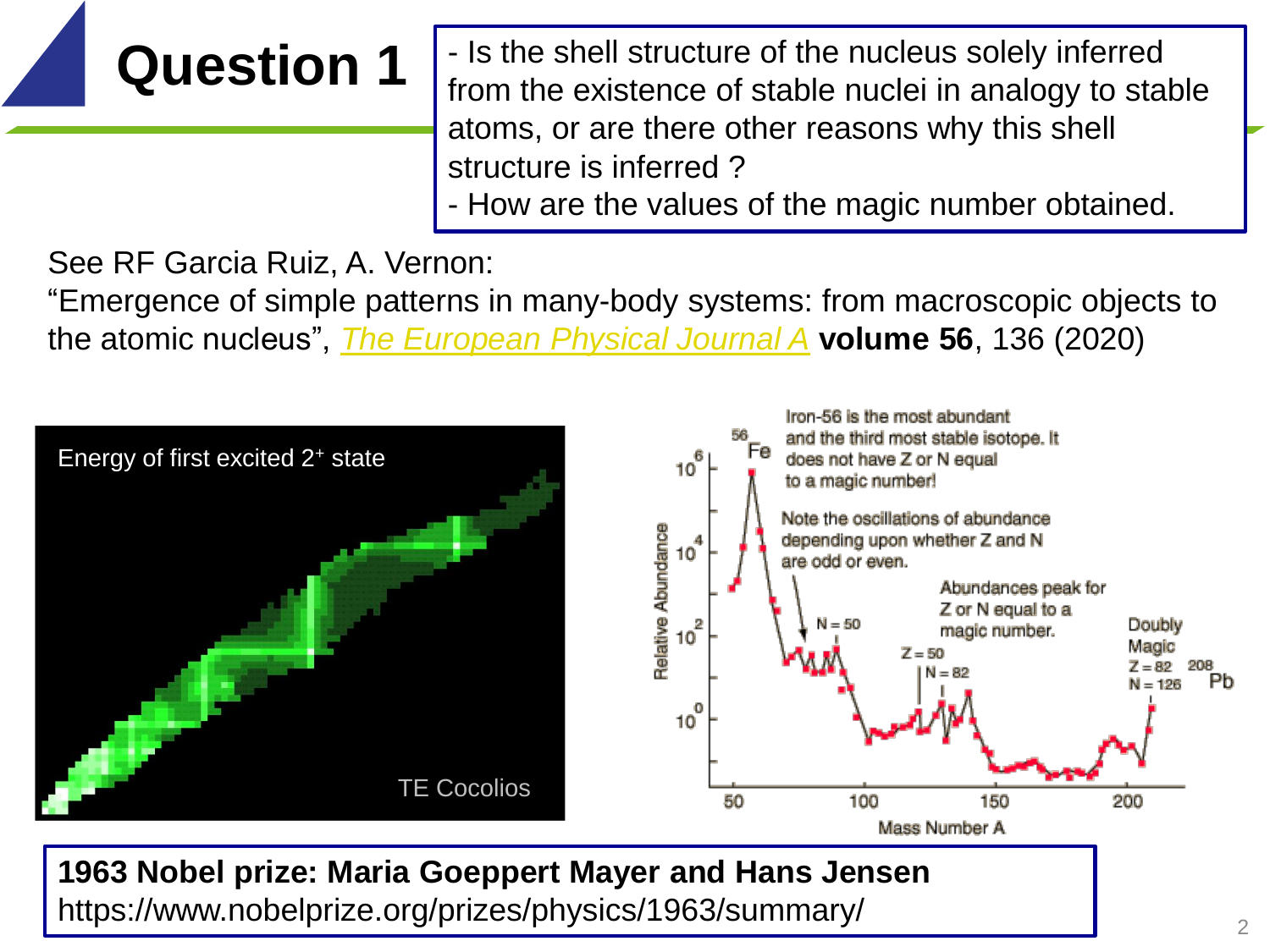# **Question 1**

- Is the shell structure of the nucleus solely inferred from the existence of stable nuclei in analogy to stable atoms, or are there other reasons why this shell structure is inferred ?

- How are the values of the magic number obtained.

See RF Garcia Ruiz, A. Vernon:

"Emergence of simple patterns in many-body systems: from macroscopic objects to the atomic nucleus", *[The European Physical Journal A](https://link.springer.com/journal/10050)* **volume 56**, 136 (2020)



**1963 Nobel prize: Maria Goeppert Mayer and Hans Jensen** https://www.nobelprize.org/prizes/physics/1963/summary/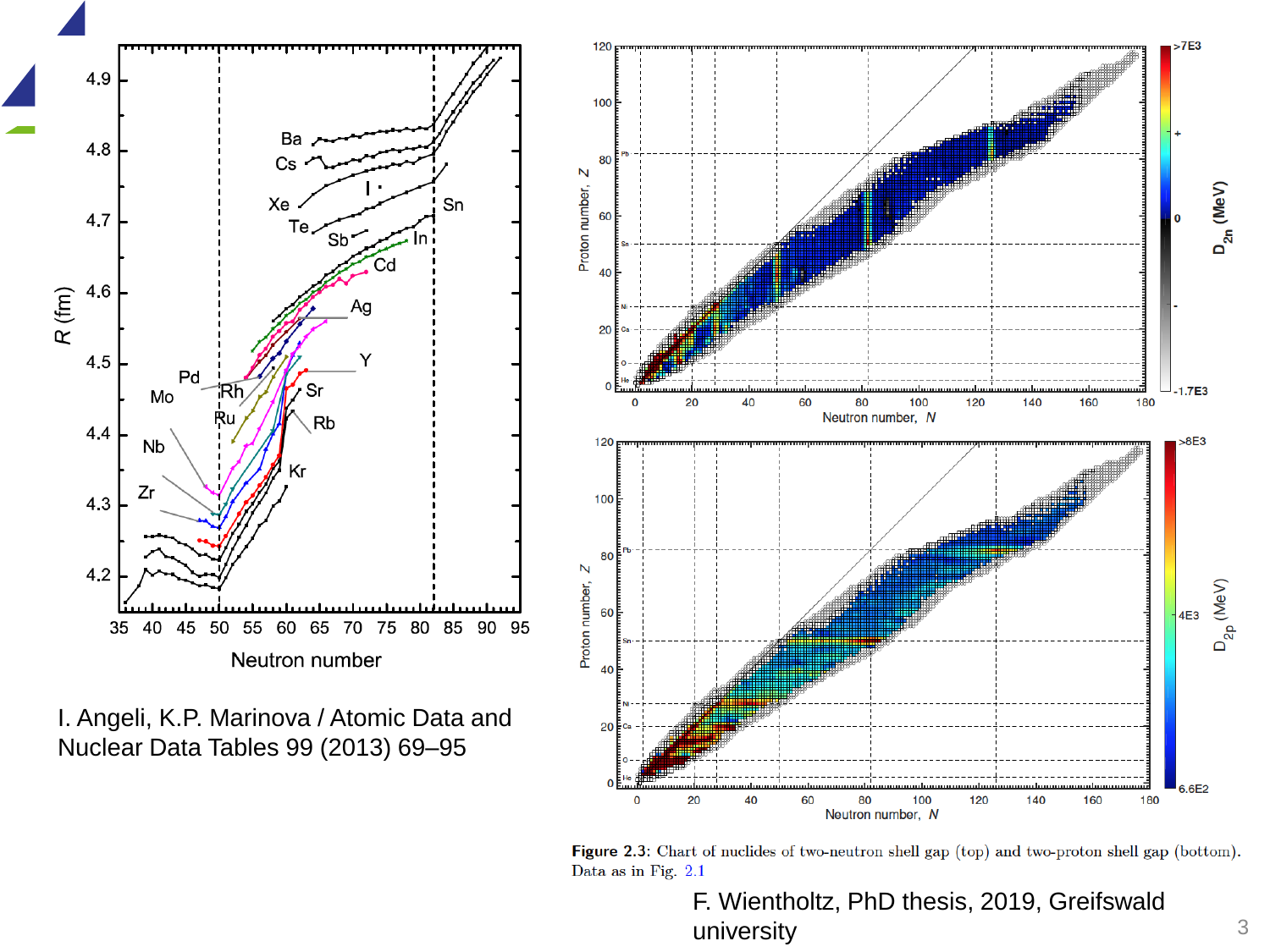

I. Angeli, K.P. Marinova / Atomic Data and Nuclear Data Tables 99 (2013) 69–95



Figure 2.3: Chart of nuclides of two-neutron shell gap (top) and two-proton shell gap (bottom). Data as in Fig. 2.1

F. Wientholtz, PhD thesis, 2019, Greifswald university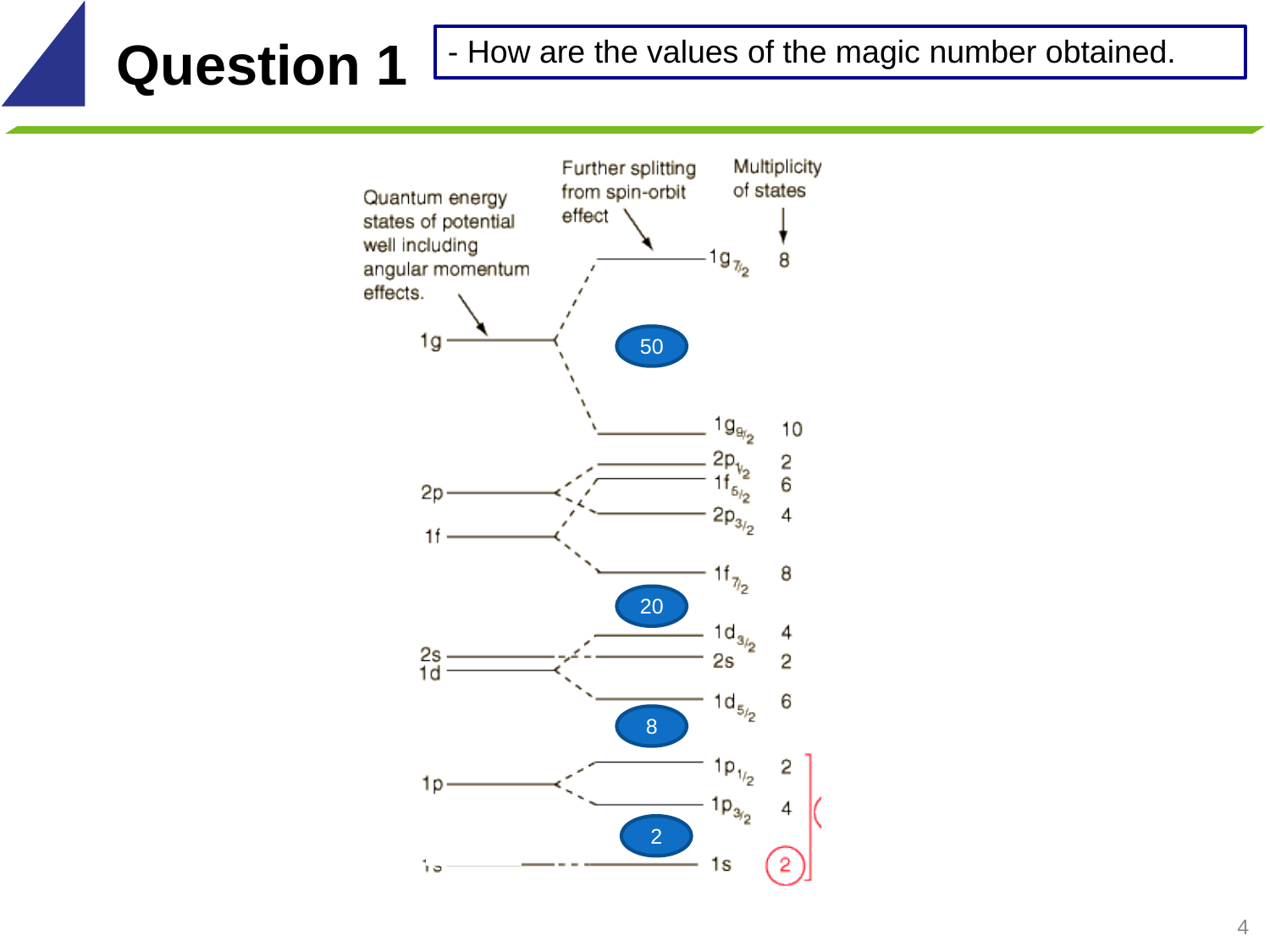## **Question 1** - How are the values of the magic number obtained.

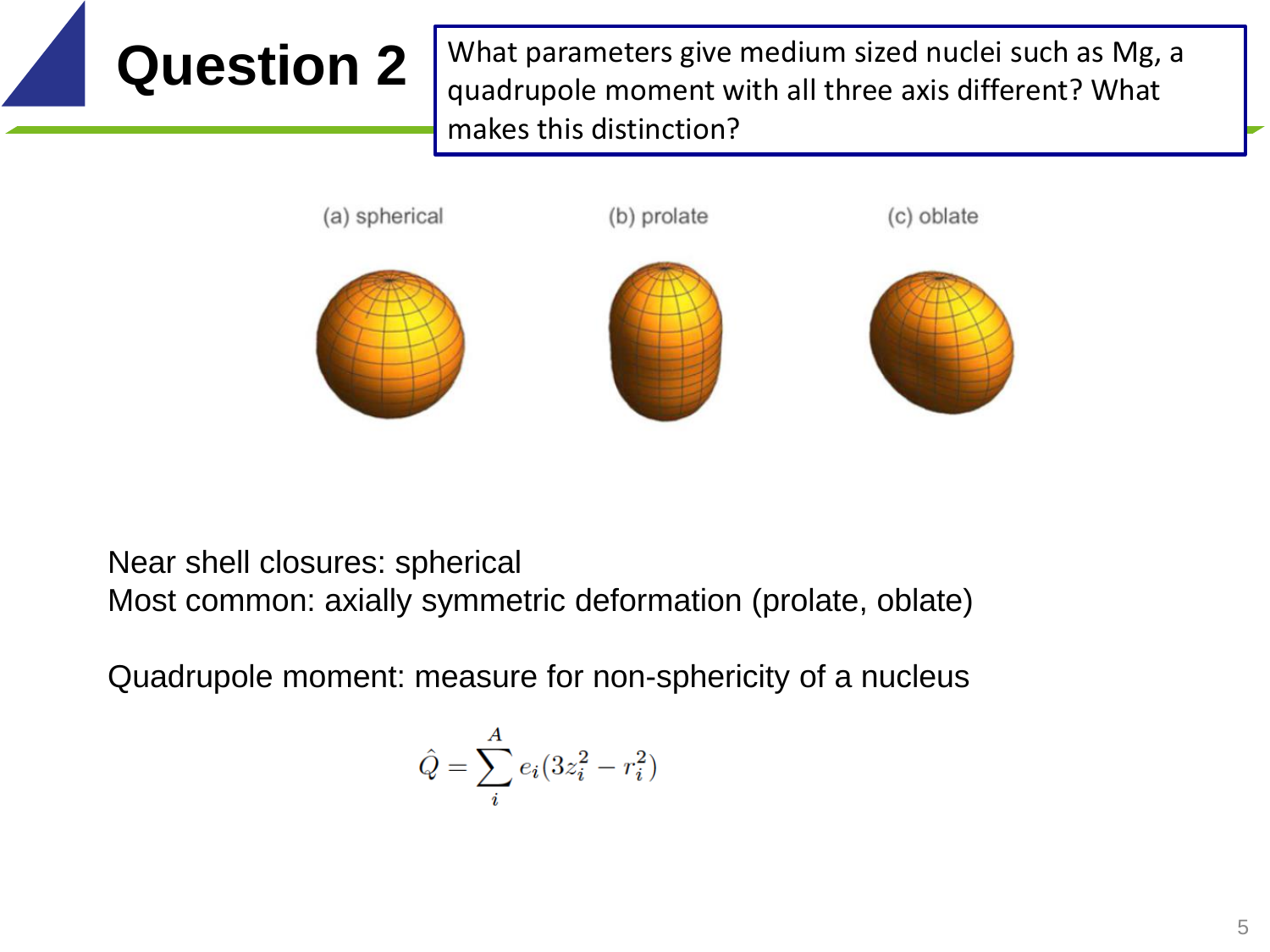**Question 2** What parameters give medium sized nuclei such as Mg, a quadrupole moment with all three axis different? What makes this distinction?



### Near shell closures: spherical Most common: axially symmetric deformation (prolate, oblate)

Quadrupole moment: measure for non-sphericity of a nucleus

$$
\hat{Q} = \sum_i^A e_i(3z_i^2 - r_i^2)
$$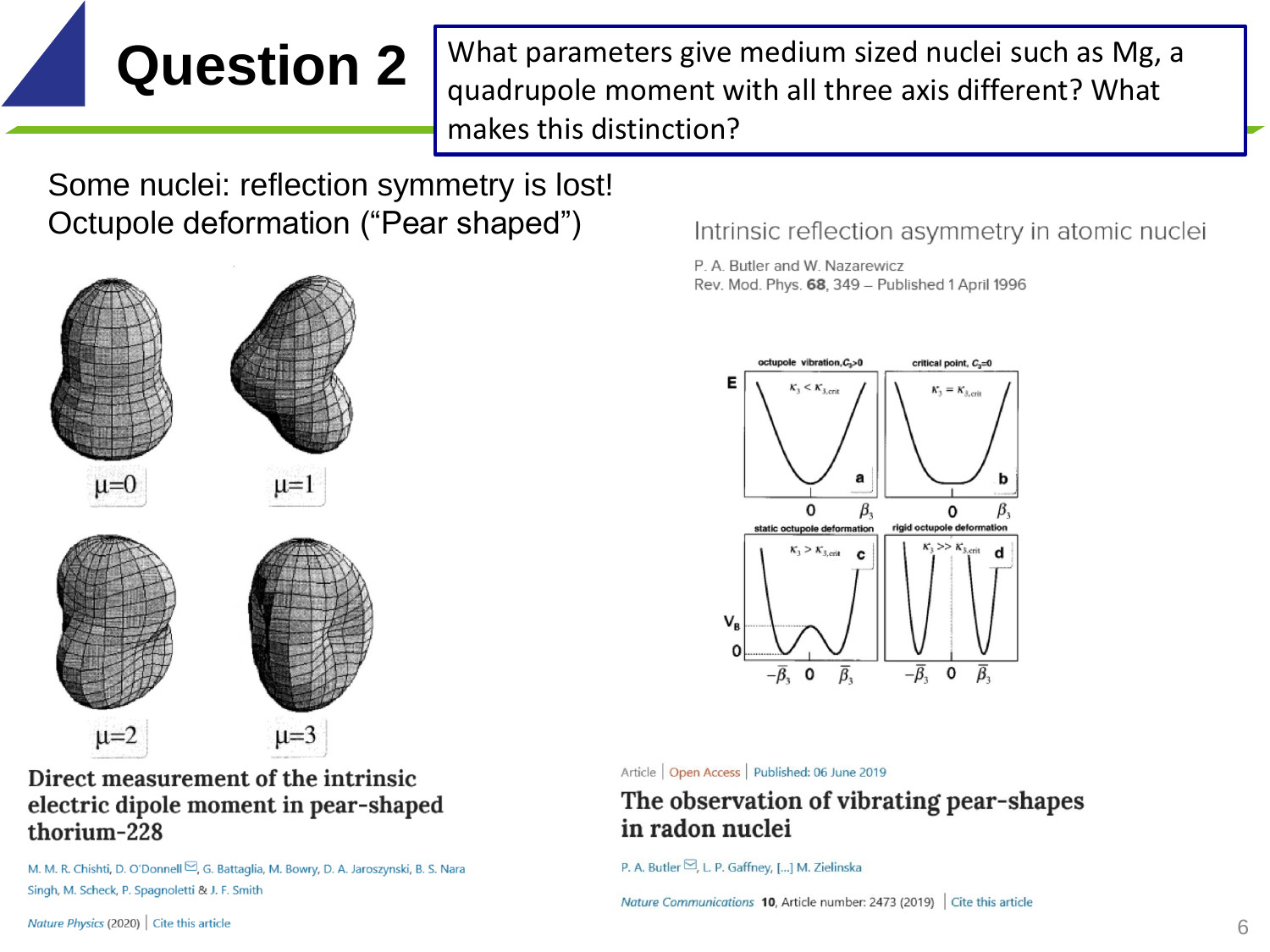**Question 2** What parameters give medium sized nuclei such as Mg, a quadrupole moment with all three axis different? What makes this distinction?

Some nuclei: reflection symmetry is lost! Octupole deformation ("Pear shaped")



Direct measurement of the intrinsic electric dipole moment in pear-shaped thorium-228

M. M. R. Chishti, D. O'Donnell ⊠, G. Battaglia, M. Bowry, D. A. Jaroszynski, B. S. Nara Singh, M. Scheck, P. Spagnoletti & J. F. Smith

Intrinsic reflection asymmetry in atomic nuclei

P. A. Butler and W. Nazarewicz Rev. Mod. Phys. 68, 349 - Published 1 April 1996



### Article | Open Access | Published: 06 June 2019

The observation of vibrating pear-shapes in radon nuclei

Nature Communications 10, Article number: 2473 (2019) Cite this article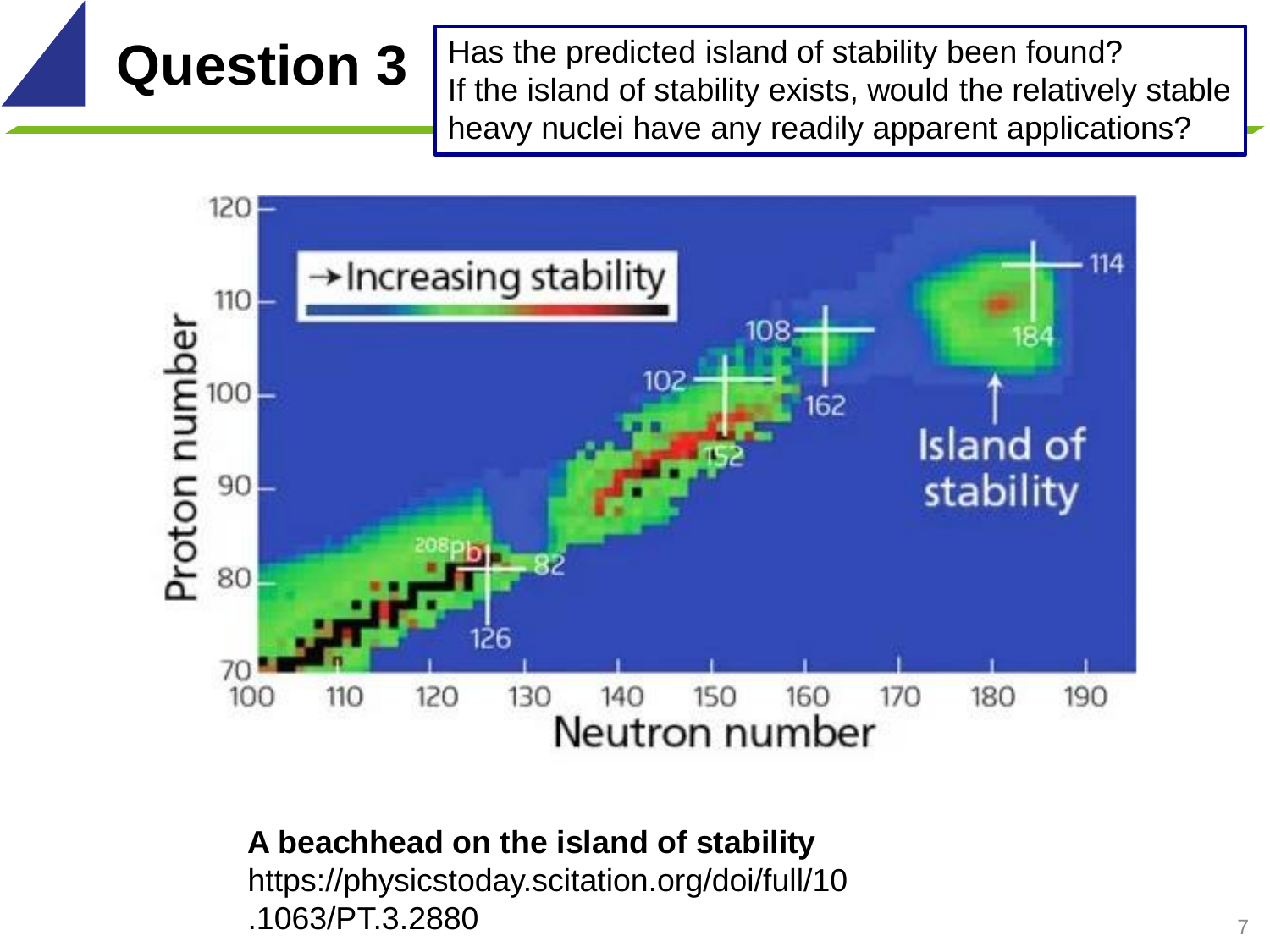**Question 3** Has the predicted island of stability been found? If the island of stability exists, would the relatively stable heavy nuclei have any readily apparent applications?



### **A beachhead on the island of stability**

https://physicstoday.scitation.org/doi/full/10 .1063/PT.3.2880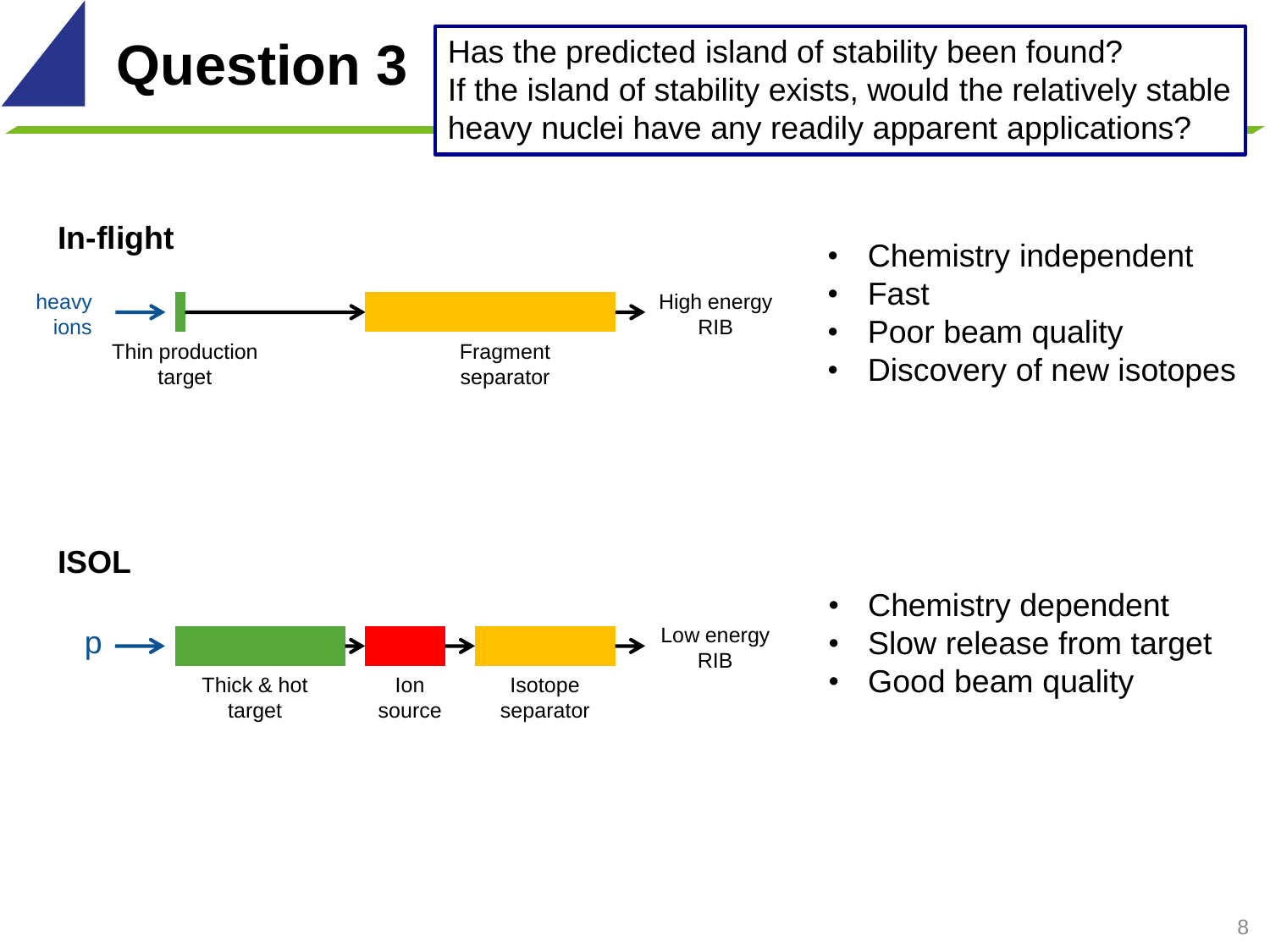**Question 3** Has the predicted island of stability been found? If the island of stability exists, would the relatively stable heavy nuclei have any readily apparent applications?



- Chemistry independent
- Fast
- Poor beam quality
- Discovery of new isotopes